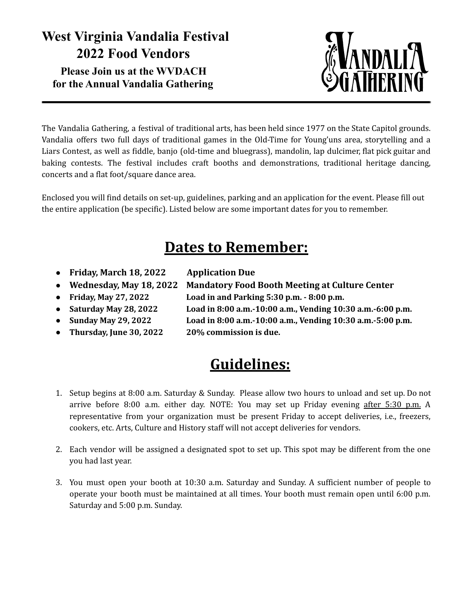## **West Virginia Vandalia Festival 2022 Food Vendors Please Join us at the WVDACH for the Annual Vandalia Gathering**



The Vandalia Gathering, a festival of traditional arts, has been held since 1977 on the State Capitol grounds. Vandalia offers two full days of traditional games in the Old-Time for Young'uns area, storytelling and a Liars Contest, as well as fiddle, banjo (old-time and bluegrass), mandolin, lap dulcimer, flat pick guitar and baking contests. The festival includes craft booths and demonstrations, traditional heritage dancing, concerts and a flat foot/square dance area.

Enclosed you will find details on set-up, guidelines, parking and an application for the event. Please fill out the entire application (be specific). Listed below are some important dates for you to remember.

## **Dates to Remember:**

- **● Friday, March 18, 2022 Application Due**
	-
- 
- 
- 
- 
- 
- **● Wednesday, May 18, 2022 Mandatory Food Booth Meeting at Culture Center**
- **● Friday, May 27, 2022 Load in and Parking 5:30 p.m. - 8:00 p.m.**
- **● Saturday May 28, 2022 Load in 8:00 a.m.-10:00 a.m., Vending 10:30 a.m.-6:00 p.m.**
- **● Sunday May 29, 2022 Load in 8:00 a.m.-10:00 a.m., Vending 10:30 a.m.-5:00 p.m.**
- **● Thursday, June 30, 2022 20% commission is due.**

## **Guidelines:**

- 1. Setup begins at 8:00 a.m. Saturday & Sunday. Please allow two hours to unload and set up. Do not arrive before 8:00 a.m. either day. NOTE: You may set up Friday evening after 5:30 p.m. A representative from your organization must be present Friday to accept deliveries, i.e., freezers, cookers, etc. Arts, Culture and History staff will not accept deliveries for vendors.
- 2. Each vendor will be assigned a designated spot to set up. This spot may be different from the one you had last year.
- 3. You must open your booth at 10:30 a.m. Saturday and Sunday. A sufficient number of people to operate your booth must be maintained at all times. Your booth must remain open until 6:00 p.m. Saturday and 5:00 p.m. Sunday.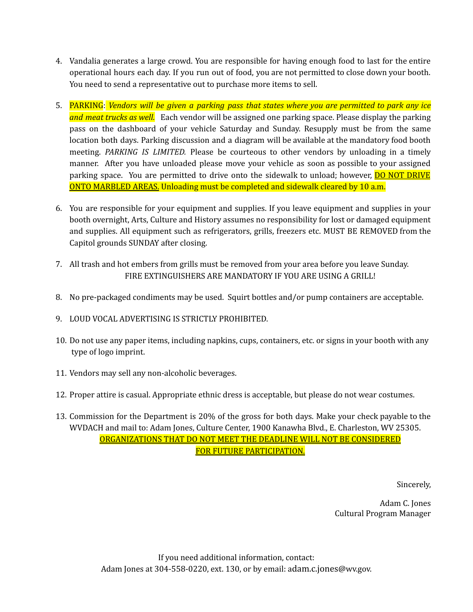- 4. Vandalia generates a large crowd. You are responsible for having enough food to last for the entire operational hours each day. If you run out of food, you are not permitted to close down your booth. You need to send a representative out to purchase more items to sell.
- 5. PARKING: *Vendors will be given a parking pass that states where you are permitted to park any ice and meat trucks as well.* Each vendor will be assigned one parking space. Please display the parking pass on the dashboard of your vehicle Saturday and Sunday. Resupply must be from the same location both days. Parking discussion and a diagram will be available at the mandatory food booth meeting. *PARKING IS LIMITED.* Please be courteous to other vendors by unloading in a timely manner. After you have unloaded please move your vehicle as soon as possible to your assigned parking space. You are permitted to drive onto the sidewalk to unload; however, **DO NOT DRIVE** ONTO MARBLED AREAS. Unloading must be completed and sidewalk cleared by 10 a.m.
- 6. You are responsible for your equipment and supplies. If you leave equipment and supplies in your booth overnight, Arts, Culture and History assumes no responsibility for lost or damaged equipment and supplies. All equipment such as refrigerators, grills, freezers etc. MUST BE REMOVED from the Capitol grounds SUNDAY after closing.
- 7. All trash and hot embers from grills must be removed from your area before you leave Sunday. FIRE EXTINGUISHERS ARE MANDATORY IF YOU ARE USING A GRILL!
- 8. No pre-packaged condiments may be used. Squirt bottles and/or pump containers are acceptable.
- 9. LOUD VOCAL ADVERTISING IS STRICTLY PROHIBITED.
- 10. Do not use any paper items, including napkins, cups, containers, etc. or signs in your booth with any type of logo imprint.
- 11. Vendors may sell any non-alcoholic beverages.
- 12. Proper attire is casual. Appropriate ethnic dress is acceptable, but please do not wear costumes.
- 13. Commission for the Department is 20% of the gross for both days. Make your check payable to the WVDACH and mail to: Adam Jones, Culture Center, 1900 Kanawha Blvd., E. Charleston, WV 25305. ORGANIZATIONS THAT DO NOT MEET THE DEADLINE WILL NOT BE CONSIDERED FOR FUTURE PARTICIPATION.

Sincerely,

Adam C. Jones Cultural Program Manager

If you need additional information, contact: Adam Jones at 304-558-0220, ext. 130, or by email: adam.c.jones@wv.gov.